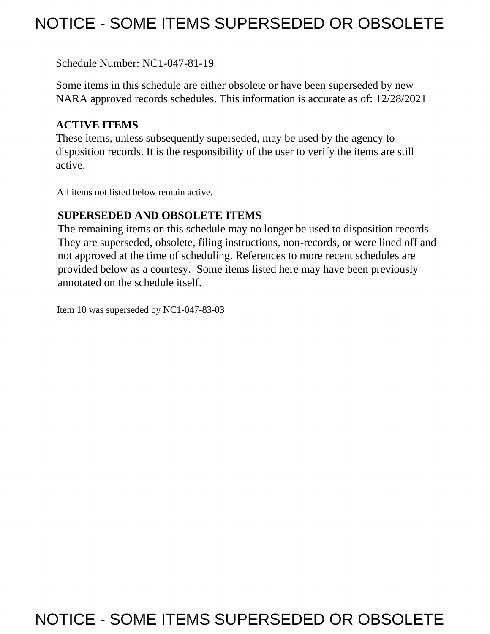# NOTICE - SOME ITEMS SUPERSEDED OR OBSOLETE

Schedule Number: NC1-047-81-19

 Some items in this schedule are either obsolete or have been superseded by new NARA approved records schedules. This information is accurate as of: 12/28/2021

## **ACTIVE ITEMS**

 These items, unless subsequently superseded, may be used by the agency to disposition records. It is the responsibility of the user to verify the items are still active.

All items not listed below remain active.

### **SUPERSEDED AND OBSOLETE ITEMS**

 The remaining items on this schedule may no longer be used to disposition records. not approved at the time of scheduling. References to more recent schedules are provided below as a courtesy. Some items listed here may have been previously They are superseded, obsolete, filing instructions, non-records, or were lined off and annotated on the schedule itself.

Item 10 was superseded by NC1-047-83-03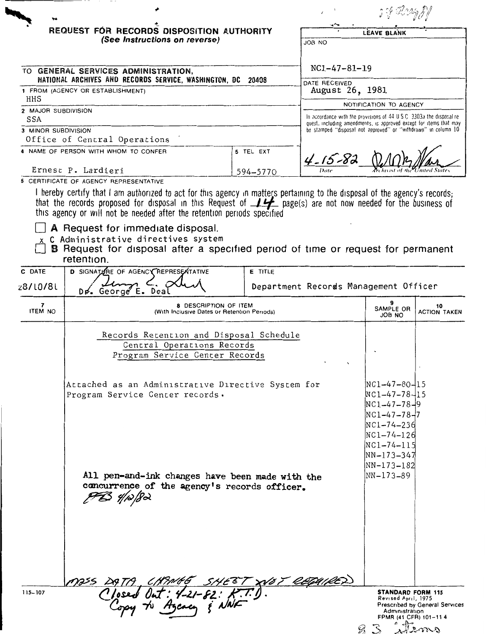|                            |                                                                                                                                                                                                                                                                                                                                                                                                                                                                                                                              |                |                                                                                                                                             | 1 F IMA                                                                                                                                             |                                               |
|----------------------------|------------------------------------------------------------------------------------------------------------------------------------------------------------------------------------------------------------------------------------------------------------------------------------------------------------------------------------------------------------------------------------------------------------------------------------------------------------------------------------------------------------------------------|----------------|---------------------------------------------------------------------------------------------------------------------------------------------|-----------------------------------------------------------------------------------------------------------------------------------------------------|-----------------------------------------------|
|                            | REQUEST FOR RECORDS DISPOSITION AUTHORITY<br>(See Instructions on reverse)                                                                                                                                                                                                                                                                                                                                                                                                                                                   |                | JOB NO                                                                                                                                      | LEAVE BLANK                                                                                                                                         |                                               |
|                            | TO GENERAL SERVICES ADMINISTRATION,<br>NATIONAL ARCHIVES AND RECORDS SERVICE, WASHINGTON, DC 20408                                                                                                                                                                                                                                                                                                                                                                                                                           |                | $NC1-47-81-19$                                                                                                                              |                                                                                                                                                     |                                               |
|                            | 1 FROM (AGENCY OR ESTABLISHMENT)                                                                                                                                                                                                                                                                                                                                                                                                                                                                                             |                | DATE RECEIVED<br>August 26, 1981                                                                                                            |                                                                                                                                                     |                                               |
| HHS<br>2 MAJOR SUBDIVISION |                                                                                                                                                                                                                                                                                                                                                                                                                                                                                                                              |                |                                                                                                                                             | NOTIFICATION TO AGENCY                                                                                                                              |                                               |
| SSA                        |                                                                                                                                                                                                                                                                                                                                                                                                                                                                                                                              |                | In accordance with the provisions of 44 U.S.C. 3303a the disposal re-<br>quest, including amendments, is approved except for items that may |                                                                                                                                                     |                                               |
| 3 MINOR SUBDIVISION        | Office of Central Operations                                                                                                                                                                                                                                                                                                                                                                                                                                                                                                 |                | be stamped "disposal not approved" or "withdrawn" in column 10                                                                              |                                                                                                                                                     |                                               |
|                            | 4 NAME OF PERSON WITH WHOM TO CONFER                                                                                                                                                                                                                                                                                                                                                                                                                                                                                         | 5 TEL EXT      | $4 - 15 - 82$                                                                                                                               |                                                                                                                                                     |                                               |
|                            | Ernest P. Lardieri<br>6 CERTIFICATE OF AGENCY REPRESENTATIVE                                                                                                                                                                                                                                                                                                                                                                                                                                                                 | 594-5770       |                                                                                                                                             |                                                                                                                                                     |                                               |
|                            | I hereby certify that I am authorized to act for this agency in matters pertaining to the disposal of the agency's records;<br>that the records proposed for disposal in this Request of $\perp \rightarrow$ page(s) are not now needed for the business of<br>this agency or will not be needed after the retention periods specified<br>A Request for immediate disposal.<br>x C Administrative directives system<br><b>B</b> Request for disposal after a specified period of time or request for permanent<br>retention. |                |                                                                                                                                             |                                                                                                                                                     |                                               |
| C DATE                     | <b>D SIGNATIONE OF AGENCY REPRESENTATIVE</b>                                                                                                                                                                                                                                                                                                                                                                                                                                                                                 | <b>E</b> TITLE |                                                                                                                                             |                                                                                                                                                     |                                               |
| z8/LO/8L                   | Dr. George E. Deal                                                                                                                                                                                                                                                                                                                                                                                                                                                                                                           |                | Department Records Management Officer                                                                                                       |                                                                                                                                                     |                                               |
| 7<br><b>ITEM NO</b>        | <b>8 DESCRIPTION OF ITEM</b><br>(With Inclusive Dates or Retention Periods)                                                                                                                                                                                                                                                                                                                                                                                                                                                  |                |                                                                                                                                             | SAMPLE OR<br>ON 8OL                                                                                                                                 | 10<br><b>ACTION TAKEN</b>                     |
|                            | Records Retention and Disposal Schedule<br>Central Operations Records<br>Program Service Center Records<br>Attached as an Administrative Directive System for<br>Program Service Center records.                                                                                                                                                                                                                                                                                                                             |                |                                                                                                                                             | INC1-47-80-115<br>$NC1 - 47 - 78 - 15$<br>$NC1 - 47 - 78 - 9$<br>$NC1 - 47 - 78 - 7$<br>NC1-74-236<br>$NC1 - 74 - 126$<br>NC1-74-115<br> NN-173-347 |                                               |
|                            | All pen-and-ink changes have been made with the<br>concurrence of the agency's records officer.<br>PB 4/12/82                                                                                                                                                                                                                                                                                                                                                                                                                |                |                                                                                                                                             | NN-173-182 <br> NN-173-89                                                                                                                           |                                               |
| $115 - 107$                | 1955 DATA CHANGE SHEET XVOT REPAIRED                                                                                                                                                                                                                                                                                                                                                                                                                                                                                         |                | B                                                                                                                                           | <b>STANDARD FORM 115</b><br>Revised April, 1975<br>Administration<br>FPMR (41 CFR) 101-11 4                                                         | <b>Prescribed by General Services</b><br>enno |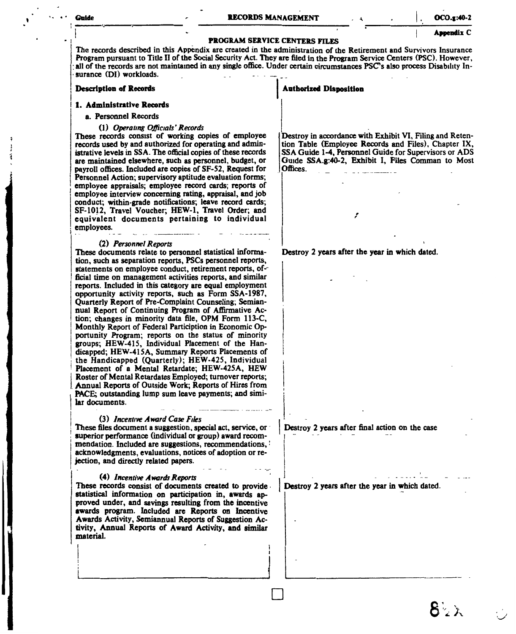#### **Guide**

 $OCO.x:40-2$ **Asoendix C** 

#### **PROGRAM SERVICE CENTERS FILES**

The records described in this Appendix are created in the administration of the Retirement and Survivors Insurance Program pursuant to Title II of the Social Security Act. They are filed in the Program Service Centers (PSC). However, all of the records are not maintained in any single office. Under certain circumstances PSC's also process Disability Insurance (DI) workloads.

#### **Description of Records**

#### 1. Administrative Records

#### a. Personnel Records

#### (1) Operating Officials' Records

These records consist of working copies of employee records used by and authorized for operating and administrative levels in SSA. The official copies of these records are maintained elsewhere, such as personnel, budget, or payroll offices. Included are copies of SF-52, Request for Personnel Action; supervisory aptitude evaluation forms; employee appraisals; employee record cards; reports of employee interview concerning rating, appraisal, and job conduct; within-grade notifications; leave record cards; SF-1012, Travel Voucher; HEW-1, Travel Order; and equivalent documents pertaining to individual employees.

#### (2) Personnel Reports

These documents relate to personnel statistical information, such as separation reports, PSCs personnel reports, statements on employee conduct, retirement reports, official time on management activities reports, and similar reports. Included in this category are equal employment opportunity activity reports, such as Form SSA-1987, Quarterly Report of Pre-Complaint Counseling; Semiannual Report of Continuing Program of Affirmative Action: changes in minority data file, OPM Form 113-C, Monthly Report of Federal Particiption in Economic Opportunity Program; reports on the status of minority groups; HEW-415, Individual Placement of the Handicapped; HEW-415A, Summary Reports Placements of the Handicapped (Quarterly); HEW-425, Individual Placement of a Mental Retardate; HEW-425A, HEW Roster of Mental Retardates Employed; turnover reports; Annual Reports of Outside Work; Reports of Hires from PACE: outstanding lump sum leave payments; and similar documents.

#### (3) Incentive Award Case Files

These files document a suggestion, special act, service, or superior performance (individual or group) award recommendation. Included are suggestions, recommendations, acknowledgments, evaluations, notices of adoption or rejection, and directly related papers.

#### (4) Incentive Awards Reports

These records consist of documents created to provide statistical information on participation in, awards approved under, and savings resulting from the incentive awards program. Included are Reports on Incentive Awards Activity, Semiannual Reports of Suggestion Activity, Annual Reports of Award Activity, and similar material.

#### **Authorized Disposition**

Destrov in accordance with Exhibit VI. Filing and Retention Table (Employee Records and Files). Chapter IX. SSA Guide 1-4, Personnel Guide for Supervisors or ADS Guide SSA.g:40-2. Exhibit I. Files Comman to Most Offices.

Destroy 2 years after the year in which dated.

Destroy 2 years after final action on the case

Destroy 2 years after the year in which dated.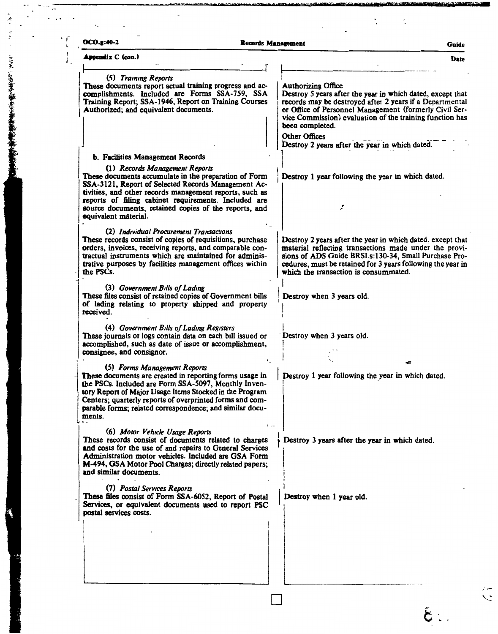| $OCO.g.40-2$                                                                                                                                                                                                                                                                                                                                       | <b>Records Management</b><br>Guide                                                                                                                                                                                                                                                           |
|----------------------------------------------------------------------------------------------------------------------------------------------------------------------------------------------------------------------------------------------------------------------------------------------------------------------------------------------------|----------------------------------------------------------------------------------------------------------------------------------------------------------------------------------------------------------------------------------------------------------------------------------------------|
| Appendix C (con.)                                                                                                                                                                                                                                                                                                                                  | <b>Date</b>                                                                                                                                                                                                                                                                                  |
| (5) Training Reports<br>These documents report actual training progress and ac-<br>complishments. Included are Forms SSA-759, SSA<br>Training Report; SSA-1946, Report on Training Courses<br>Authorized; and equivalent documents.                                                                                                                | <b>Authorizing Office</b><br>Destroy 5 years after the year in which dated, except that<br>records may be destroyed after 2 years if a Departmental<br>or Office of Personnel Management (formerly Civil Ser-<br>vice Commission) evaluation of the training function has<br>been completed. |
|                                                                                                                                                                                                                                                                                                                                                    | <b>Other Offices</b><br>Destroy 2 years after the year in which dated.                                                                                                                                                                                                                       |
| b. Facilities Management Records                                                                                                                                                                                                                                                                                                                   |                                                                                                                                                                                                                                                                                              |
| (1) Records Management Reports<br>These documents accumulate in the preparation of Form<br>SSA-3121, Report of Selected Records Management Ac-<br>tivities, and other records management reports, such as<br>reports of filing cabinet requirements. Included are<br>source documents, retained copies of the reports, and<br>equivalent material. | Destroy 1 year following the year in which dated.<br>۶                                                                                                                                                                                                                                       |
| (2) Individual Procurement Transactions<br>These records consist of copies of requisitions, purchase<br>orders, invoices, receiving reports, and comparable con-<br>tractual instruments which are maintained for adminis-<br>trative purposes by facilities management offices within<br>the PSCs.                                                | Destroy 2 years after the year in which dated, except that<br>material reflecting transactions made under the provi-<br>sions of ADS Guide BRSI.s:130-34, Small Purchase Pro-<br>cedures, must be retained for 3 years following the year in<br>which the transaction is consummated.        |
| (3) Government Bills of Lading<br>These files consist of retained copies of Government bills<br>of lading relating to property shipped and property<br>received.                                                                                                                                                                                   | Destroy when 3 years old.                                                                                                                                                                                                                                                                    |
| (4) Government Bills of Lading Registers                                                                                                                                                                                                                                                                                                           |                                                                                                                                                                                                                                                                                              |

Destroy when 3 years old. These journals or logs contain data on each bill issued or accomplished, such as date of issue or accomplishment,

Destroy 1 year following the year in which dated.

Destroy 3 years after the year in which dated.

Destroy when 1 year old.

(7) Postal Services Reports

consignee, and consignor.

and similar documents.

ments.

(5) Forms Management Reports

(6) Motor Vehicle Usage Reports

These documents are created in reporting forms usage in

the PSCs. Included are Form SSA-5097, Monthly Inventory Report of Major Usage Items Stocked in the Program Centers; quarterly reports of overprinted forms and comparable forms; related correspondence; and similar docu-

These records consist of documents related to charges

and costs for the use of and repairs to General Services Administration motor vehicles. Included are GSA Form M-494, GSA Motor Pool Charges; directly related papers;

These files consist of Form SSA-6052, Report of Postal Services, or equivalent documents used to report PSC postal services costs.

● 「そのことの事をを実現の場所をもっている」

 $\widetilde{\zeta}$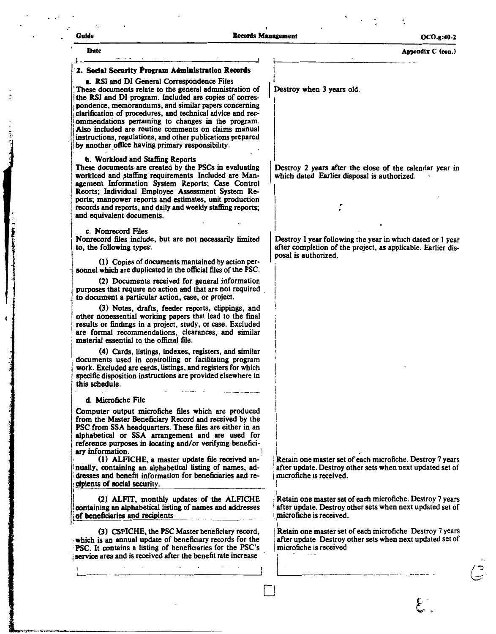#### Guide **Guide** Contact Contact Contact Contact Contact Contact Contact Contact Contact Contact Contact Contact Contact Contact Contact Contact Contact Contact Contact Contact Contact Contact Contact Contact Contact Contact

I

 $\vert$ I

□

**Date Appendix C** (con.)

I  $\vert$ Destroy when 3 years old.

I *<sup>r</sup>*

Destroy 2 years after the close of the calendar year in which dated Earlier disposal is authorized.

Destroy l year following the year in which dated or 1 year after completion of the project, as applicable. Earlier disposal is authorized.

Retain one master set of each microfiche. Destroy 7 years after update. Destroy other sets when next updated set of microfiche is received.

**Retain one master set of each microfiche. Destroy 7 years** I Retain the master set of each intertuncie. Destroy *I* years<br>after update. Destroy other sets when next updated set of<br>microfiche is received. microfiche is received.

Retain one master set of each microfiche Destroy 7 years after update Destroy other sets when next updated set of microfiche is received Example 2015. Destroy other sets when next update<br>is received.<br>master set of each microfiche Destroy<br>Pestroy other sets when next update<br>is received

#### ·**2. Social** Security **Program Administration Records**

**a. RSI** and DI General Correspondence Files

These documents relate to the general administration of !**the RSI** and DI program. Included are copies of correspondence, memorandums, and similar papers concerning clarification of procedures, and technical advice and recommendations pertaining to changes in the program. Also included are routine comments on claims manual instructions, regulations, and other publications prepared by another office having primary responsibility.

#### **b. Workload and Staffing** Reports

These documents are created by the PSCs in evaluating workload and staffing requirements Included are Management Information System Reports; Case Control Reorts; Individual Employee Assessment System Reports; manpower reports and estimates, unit production records and reports, and daily and weekly staffing reports; and equivalent documents.

c. Nonrecord Files

Nonrecord files include, but are not necessarily limited to, the following types:

(1) Copies of documents mantained by action personnel which are duplicated in the official files of the PSC.

(2) Documents received for general information purposes that require no action and that are not required \_ to document a particular action, case, or project.

(3) Notes, drafts, feeder reports, clippings, and other nonessential working papers that lead to the final results or findmgs in a project, study, or case. Excluded are formal recommendations, clearances, and similar material essential to the official file.

j **(4)** Cards, listings, indexes, registers, and similar documents used in controlling or facilitating program **work.** Excluded are cards, listings, and registers for which specific disposition instructions are provided elsewhere in this schedule.

#### **d.** Microfiche File

Computer output microfiche files which are produced from the Master Beneficiary Record and received by the PSC from SSA headquarters. These files are either in an alphabetical or SSA arrangement and are used for reference purposes in locating and/or verifymg benefici**ary** information. !

(1) ALFICHE, a master update file received annually, containing an alphabetical listing of names, addresses and benefit information for beneficiaries and recipients of social security.

(2) ALFIT, monthly updates of the ALFICHE !**oontaining an** alphabetical listing of names and addresses i**of beneficiaries and** recipients

(3) CSFICHE, the PSC Master beneficiary record, which is an annual update of beneficiary records for the PSC. It contains a listing of beneficiaries for the PSC's service area and is received after the benefit rate increase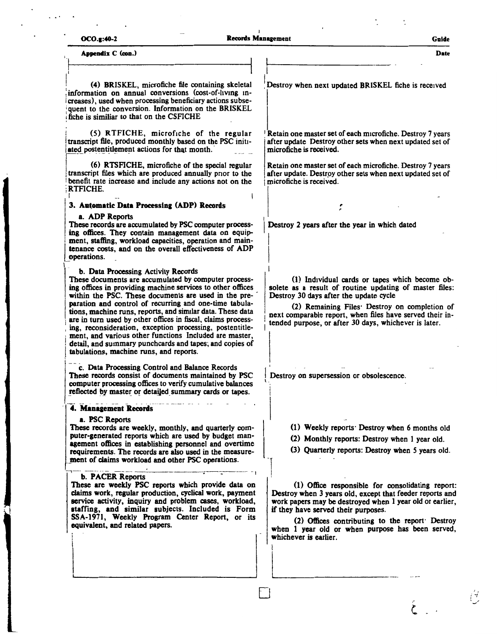| <b>OCO.g:40-2</b> |  |
|-------------------|--|
|-------------------|--|

Appendix C (con.)

(4) BRISKEL, microfiche file containing skeletal information on annual conversions (cost-of-living increases), used when processing beneficiary actions subsequent to the conversion. Information on the BRISKEL fiche is similiar to that on the CSFICHE

(5) RTFICHE, microfiche of the regular transcript file, produced monthly based on the PSC initiated postentitlement actions for that month.

(6) RTSFICHE, microfiche of the special regular transcript files which are produced annually prior to the benefit rate increase and include any actions not on the RTFICHE.

#### 3. Automatic Data Processing (ADP) Records

#### a. ADP Reports

These records are accumulated by PSC computer processing offices. They contain management data on equipment, staffing, workload capacities, operation and maintenance costs, and on the overall effectiveness of ADP operations.

#### b. Data Processing Activity Records

These documents are accumulated by computer processing offices in providing machine services to other offices within the PSC. These documents are used in the preparation and control of recurring and one-time tabulations, machine runs, reports, and similar data. These data are in turn used by other offices in fiscal, claims processing, reconsideration, exception processing, postentitlement, and various other functions Included are master, detail, and summary punchcards and tapes; and copies of tabulations, machine runs, and reports.

c. Data Processing Control and Balance Records These records consist of documents maintained by PSC computer processing offices to verify cumulative balances reflected by master or detailed summary cards or tapes.

#### 4. Management Records

#### a. PSC Reports

These records are weekly, monthly, and quarterly computer-generated reports which are used by budget management offices in establishing personnel and overtime requirements. The records are also used in the measurement of claims workload and other PSC operations.

#### b. PACER Reports

These are weekly PSC reports which provide data on claims work, regular production, cyclical work, payment service activity, inquiry and problem cases, workload, staffing, and similar subjects. Included is Form SSA-1971, Weekly Program Center Report, or its equivalent, and related papers.

Destroy when next updated BRISKEL fiche is received

Retain one master set of each microfiche. Destroy 7 years after update Destroy other sets when next updated set of microfiche is received.

Retain one master set of each microfiche. Destroy 7 years after update. Destroy other sets when next updated set of microfiche is received.

Destroy 2 years after the year in which dated

(1) Individual cards or tapes which become obsolete as a result of routine updating of master files: Destroy 30 days after the update cycle

(2) Remaining Files: Destroy on completion of next comparable report, when files have served their intended purpose, or after 30 days, whichever is later.

Destroy on supersession or obsolescence.

- (1) Weekly reports: Destroy when 6 months old
- (2) Monthly reports: Destroy when I year old.
- (3) Quarterly reports: Destroy when 5 years old.

(1) Office responsible for consolidating report: Destroy when 3 years old, except that feeder reports and work papers may be destroyed when I year old or earlier, if they have served their purposes.

(2) Offices contributing to the report Destroy when I year old or when purpose has been served, whichever is earlier.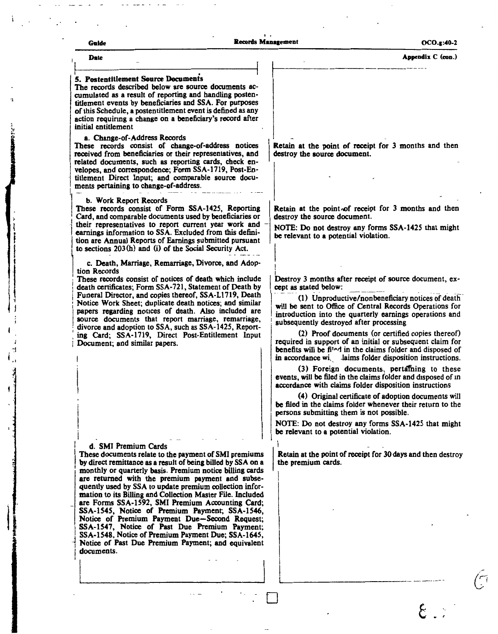| Guide                                                                  |                                                                                                                                                                                                                                                                                                                                                                                                                                                                                                                            | <b>Records Management</b>                                             | $OCO.g: 40-2$                                                                                                                                                                                                                                                                                                                                                                                                                                                                                                                                                           |
|------------------------------------------------------------------------|----------------------------------------------------------------------------------------------------------------------------------------------------------------------------------------------------------------------------------------------------------------------------------------------------------------------------------------------------------------------------------------------------------------------------------------------------------------------------------------------------------------------------|-----------------------------------------------------------------------|-------------------------------------------------------------------------------------------------------------------------------------------------------------------------------------------------------------------------------------------------------------------------------------------------------------------------------------------------------------------------------------------------------------------------------------------------------------------------------------------------------------------------------------------------------------------------|
| <b>Date</b>                                                            |                                                                                                                                                                                                                                                                                                                                                                                                                                                                                                                            |                                                                       | Appendix C (con.)                                                                                                                                                                                                                                                                                                                                                                                                                                                                                                                                                       |
| 5. Postentitlement Source Documents<br>initial entitlement             | The records described below are source documents ac-<br>cumulated as a result of reporting and handling posten-<br>titlement events by beneficiaries and SSA. For purposes<br>of this Schedule, a postentitlement event is defined as any<br>action requiring a change on a beneficiary's record after                                                                                                                                                                                                                     |                                                                       |                                                                                                                                                                                                                                                                                                                                                                                                                                                                                                                                                                         |
| a. Change-of-Address Records<br>ments pertaining to change-of-address. | These records consist of change-of-address notices<br>received from beneficiaries or their representatives, and<br>related documents, such as reporting cards, check en-<br>velopes, and correspondence; Form SSA-1719, Post-En-<br>titlement Direct Input; and comparable source docu-                                                                                                                                                                                                                                    | destroy the source document.                                          | Retain at the point of receipt for 3 months and then                                                                                                                                                                                                                                                                                                                                                                                                                                                                                                                    |
| b. Work Report Records                                                 | These records consist of Form SSA-1425, Reporting<br>Card, and comparable documents used by beneficiaries or<br>their representatives to report current year work and<br>earnings information to SSA. Excluded from this defini-<br>tion are Annual Reports of Earnings submitted pursuant<br>to sections 203(h) and (i) of the Social Security Act.                                                                                                                                                                       | destroy the source document.<br>be relevant to a potential violation. | Retain at the point of receipt for 3 months and then<br>NOTE: Do not destroy any forms SSA-1425 that might                                                                                                                                                                                                                                                                                                                                                                                                                                                              |
| tion Records<br>Document; and similar papers.                          | c. Death, Marriage, Remarriage, Divorce, and Adop-<br>These records consist of notices of death which include<br>death certificates; Form SSA-721, Statement of Death by<br>Funeral Director, and copies thereof, SSA-L1719, Death<br>Notice Work Sheet; duplicate death notices; and similar<br>papers regarding notices of death. Also included are<br>source documents that report marriage, remarriage,<br>divorce and adoption to SSA, such as SSA-1425, Report-<br>ing Card; SSA-1719, Direct Post-Entitlement Input | cept as stated below:                                                 | Destroy 3 months after receipt of source document, ex-<br>(1) Unproductive/nonbeneficiary notices of death<br>will be sent to Office of Central Records Operations for<br>introduction into the quarterly earnings operations and<br>subsequently destroyed after processing<br>(2) Proof documents (or certified copies thereof)<br>required in support of an initial or subsequent claim for<br>benefits will be filed in the claims folder and disposed of<br>in accordance wi. laims folder disposition instructions.<br>(3) Foreign documents, pertaining to these |
|                                                                        |                                                                                                                                                                                                                                                                                                                                                                                                                                                                                                                            | be relevant to a potential violation.                                 | events, will be filed in the claims folder and disposed of in<br>accordance with claims folder disposition instructions<br>(4) Original certificate of adoption documents will<br>be filed in the claims folder whenever their return to the<br>persons submitting them is not possible.<br>NOTE: Do not destroy any forms SSA-1425 that might                                                                                                                                                                                                                          |
| d. SMI Premium Cards                                                   | These documents relate to the payment of SMI premiums<br>by direct remittance as a result of being billed by SSA on a<br>monthly or quarterly basis. Premium notice billing cards<br>are returned with the premium payment and subse-<br>quently used by SSA to update premium collection infor-<br>mation to its Billing and Collection Master File. Included<br>are Forms SSA-1592, SMI Premium Accounting Card;<br>SSA-1545, Notice of Premium Payment; SSA-1546,                                                       | the premium cards.                                                    | Retain at the point of receipt for 30 days and then destroy                                                                                                                                                                                                                                                                                                                                                                                                                                                                                                             |

 $\epsilon$ 

 $\hat{C}$ 

i<br>International<br>International

ï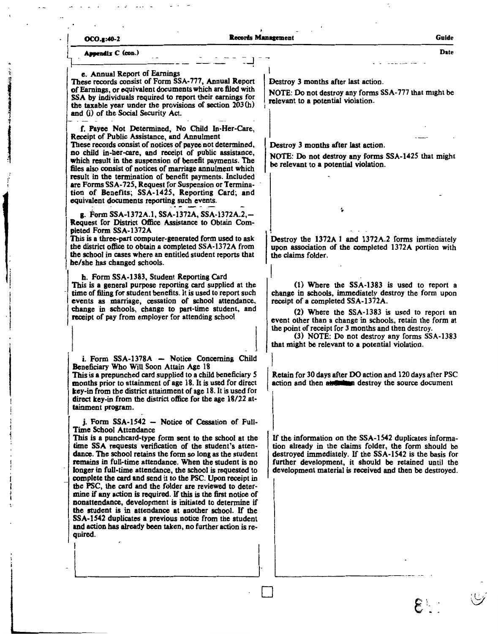| OCO.g:40-2                                                                                                                                                                                                                                                                                                                                                                                                                                                                                                                                                                                                                                                                                                                                                                                                                              | <b>Records Management</b> | Guide                                                                                                                                                                                                                                                                                                                                                                                                        |
|-----------------------------------------------------------------------------------------------------------------------------------------------------------------------------------------------------------------------------------------------------------------------------------------------------------------------------------------------------------------------------------------------------------------------------------------------------------------------------------------------------------------------------------------------------------------------------------------------------------------------------------------------------------------------------------------------------------------------------------------------------------------------------------------------------------------------------------------|---------------------------|--------------------------------------------------------------------------------------------------------------------------------------------------------------------------------------------------------------------------------------------------------------------------------------------------------------------------------------------------------------------------------------------------------------|
| Appendix C (con.)                                                                                                                                                                                                                                                                                                                                                                                                                                                                                                                                                                                                                                                                                                                                                                                                                       |                           | Date                                                                                                                                                                                                                                                                                                                                                                                                         |
| e. Annual Report of Earnings<br>These records consist of Form SSA-777, Annual Report<br>of Earnings, or equivalent documents which are filed with<br>SSA by individuals required to report their earnings for<br>the taxable year under the provisions of section $203(h)$<br>and (i) of the Social Security Act.                                                                                                                                                                                                                                                                                                                                                                                                                                                                                                                       |                           | Destroy 3 months after last action.<br>NOTE: Do not destroy any forms SSA-777 that might be<br>relevant to a potential violation.                                                                                                                                                                                                                                                                            |
| f. Payee Not Determined, No Child In-Her-Care,<br>Receipt of Public Assistance, and Annulment<br>These records consist of notices of payee not determined,<br>no child in-her-care, and receipt of public assistance,<br>which result in the suspension of benefit payments. The<br>files also consist of notices of marriage annulment which<br>result in the termination of benefit payments. Included<br>are Forms SSA-725, Request for Suspension or Termina-<br>tion of Benefits; SSA-1425, Reporting Card; and<br>equivalent documents reporting such events.                                                                                                                                                                                                                                                                     |                           | Destroy 3 months after last action.<br>NOTE: Do not destroy any forms SSA-1425 that might<br>be relevant to a potential violation.                                                                                                                                                                                                                                                                           |
| g. Form SSA-1372A.1, SSA-1372A, SSA-1372A.2,-<br>Request for District Office Assistance to Obtain Com-<br>pleted Form SSA-1372A<br>This is a three-part computer-generated form used to ask<br>the district office to obtain a completed SSA-1372A from<br>the school in cases where an entitled student reports that<br>he/she has changed schools.                                                                                                                                                                                                                                                                                                                                                                                                                                                                                    |                           | ٠<br>Destroy the 1372A 1 and 1372A.2 forms immediately<br>upon association of the completed 1372A portion with<br>the claims folder.                                                                                                                                                                                                                                                                         |
| h. Form SSA-1383, Student Reporting Card<br>This is a general purpose reporting card supplied at the<br>time of filing for student benefits. It is used to report such<br>events as marriage, cessation of school attendance,<br>change in schools, change to part-time student, and<br>receipt of pay from employer for attending school                                                                                                                                                                                                                                                                                                                                                                                                                                                                                               |                           | (1) Where the SSA-1383 is used to report a<br>change in schools, immediately destroy the form upon<br>receipt of a completed SSA-1372A.<br>(2) Where the SSA-1383 is used to report an<br>event other than a change in schools, retain the form at<br>the point of receipt for 3 months and then destroy.<br>(3) NOTE: Do not destroy any forms SSA-1383<br>that might be relevant to a potential violation. |
| i. Form SSA-1378A - Notice Concerning Child<br>Beneficiary Who Will Soon Attain Age 18<br>This is a prepunched card supplied to a child beneficiary 5<br>months prior to attainment of age 18. It is used for direct<br>key-in from the district attainment of age 18. It is used for<br>direct key-in from the district office for the age 18/22 at-<br>tainment program.                                                                                                                                                                                                                                                                                                                                                                                                                                                              |                           | Retain for 30 days after DO action and 120 days after PSC<br>action and then and then destroy the source document                                                                                                                                                                                                                                                                                            |
| j. Form SSA-1542 - Notice of Cessation of Full-<br>Time School Attendance<br>This is a punchcard-type form sent to the school at the<br>time SSA requests verification of the student's atten-<br>dance. The school retains the form so long as the student<br>remains in full-time attendance. When the student is no<br>longer in full-time attendance, the school is requested to<br>complete the card and send it to the PSC. Upon receipt in<br>the PSC, the card and the folder are reviewed to deter-<br>mine if any action is required. If this is the first notice of<br>nonattendance, development is initiated to determine if<br>the student is in attendance at another school. If the<br>SSA-1542 duplicates a previous notice from the student<br>and action has already been taken, no further action is re-<br>quired. |                           | If the information on the SSA-1542 duplicates informa-<br>tion already in the claims folder, the form should be<br>destroyed immediately. If the SSA-1542 is the basis for<br>further development, it should be retained until the<br>development material is received and then be destroyed.                                                                                                                |
|                                                                                                                                                                                                                                                                                                                                                                                                                                                                                                                                                                                                                                                                                                                                                                                                                                         |                           |                                                                                                                                                                                                                                                                                                                                                                                                              |
|                                                                                                                                                                                                                                                                                                                                                                                                                                                                                                                                                                                                                                                                                                                                                                                                                                         |                           |                                                                                                                                                                                                                                                                                                                                                                                                              |

 $\mathcal{L}_\mathrm{c}$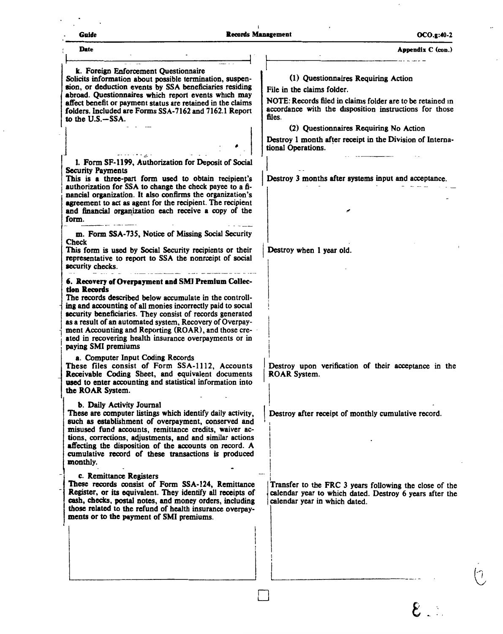$\ddot{\phantom{a}}$ 

 $\overline{C}$ 

#### **Appendix C (con.)**

 $\overline{\phantom{a}}$ 

| <b>Date</b>                                                                                                                                                                                                                                                                                                                                                                                                                                                    | Appendix C (con.)                                                                                                                                                                                                                                                                                                                |
|----------------------------------------------------------------------------------------------------------------------------------------------------------------------------------------------------------------------------------------------------------------------------------------------------------------------------------------------------------------------------------------------------------------------------------------------------------------|----------------------------------------------------------------------------------------------------------------------------------------------------------------------------------------------------------------------------------------------------------------------------------------------------------------------------------|
| k. Foreign Enforcement Questionnaire<br>Solicits information about possible termination, suspen-<br>sion, or deduction events by SSA beneficiaries residing<br>abroad. Questionnaires which report events which may<br>affect benefit or payment status are retained in the claims<br>folders. Included are Forms SSA-7162 and 7162.1 Report<br>to the U.S.-SSA.                                                                                               | (1) Questionnaires Requiring Action<br>File in the claims folder.<br>NOTE: Records filed in claims folder are to be retained in<br>accordance with the disposition instructions for those<br>files.<br>(2) Questionnaires Requiring No Action<br>Destroy 1 month after receipt in the Division of Interna-<br>tional Operations. |
| 1. Form SF-1199, Authorization for Deposit of Social<br>Security Payments<br>This is a three-part form used to obtain recipient's<br>authorization for SSA to change the check payee to a fi-<br>nancial organization. It also confirms the organization's<br>agreement to act as agent for the recipient. The recipient<br>and financial organization each receive a copy of the<br>form.                                                                     | Destroy 3 months after systems input and acceptance.                                                                                                                                                                                                                                                                             |
| m. Form SSA-735, Notice of Missing Social Security<br><b>Check</b><br>This form is used by Social Security recipients or their<br>representative to report to SSA the nonroeipt of social<br>security checks.                                                                                                                                                                                                                                                  | Destroy when 1 year old.                                                                                                                                                                                                                                                                                                         |
| 6. Recovery of Overpayment and SMI Premium Collec-<br>tion Records<br>The records described below accumulate in the controll-<br>ing and accounting of all monies incorrectly paid to social<br>security beneficiaries. They consist of records generated<br>as a result of an automated system, Recovery of Overpay-<br>ment Accounting and Reporting (ROAR), and those cre-<br>ated in recovering health insurance overpayments or in<br>paying SMI premiums |                                                                                                                                                                                                                                                                                                                                  |
| a. Computer Input Coding Records<br>These files consist of Form SSA-1112, Accounts<br>Receivable Coding Sheet, and equivalent documents<br>used to enter accounting and statistical information into<br>the ROAR System.                                                                                                                                                                                                                                       | Destroy upon verification of their acceptance in the<br><b>ROAR System.</b>                                                                                                                                                                                                                                                      |
| b. Daily Activity Journal<br>These are computer listings which identify daily activity,<br>such as establishment of overpayment, conserved and<br>misused fund accounts, remittance credits, waiver ac-<br>tions, corrections, adjustments, and and similar actions<br>affecting the disposition of the accounts on record. A<br>cumulative record of these transactions is produced<br>monthly.                                                               | Destroy after receipt of monthly cumulative record.                                                                                                                                                                                                                                                                              |
| c. Remittance Registers<br>These records consist of Form SSA-124, Remittance<br>Register, or its equivalent. They identify all receipts of<br>cash, checks, postal notes, and money orders, including<br>those related to the refund of health insurance overpay-<br>ments or to the payment of SMI premiums.                                                                                                                                                  | Transfer to the FRC 3 years following the close of the<br>calendar year to which dated. Destroy 6 years after the<br>calendar year in which dated.                                                                                                                                                                               |
|                                                                                                                                                                                                                                                                                                                                                                                                                                                                |                                                                                                                                                                                                                                                                                                                                  |

□ *e*·-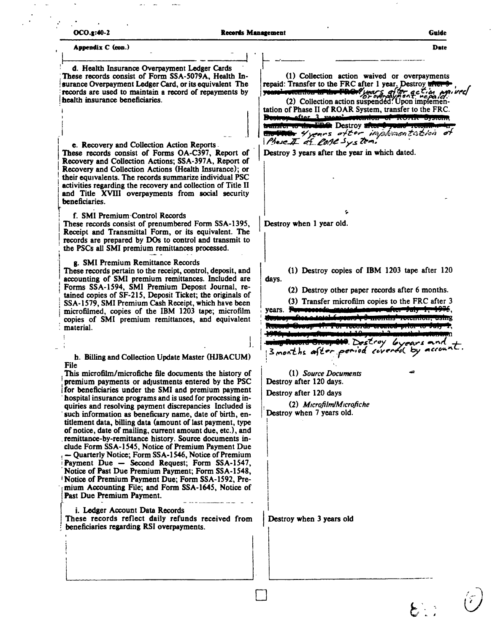| <b>OCO.2:40-2</b> |
|-------------------|
|                   |

Date

Appendix C (con.) d. Health Insurance Overpayment Ledger Cards These records consist of Form SSA-5079A, Health In-(1) Collection action waived or overpayments repaid: Transfer to the FRC after 1 year. Destroy after surance Overpayment Ledger Card, or its equivalent The **Extention times PROPY** parts of the action per records are used to maintain a record of repayments by you health insurance beneficiaries. tation of Phase II of ROAR System, transfer to the FRC. Bostron ofter 3 **The Destroy after** ta an an Aon **Go Ther** 4 years ofter implementation Phase I of Cone System. e. Recovery and Collection Action Reports. These records consist of Forms OA-C397, Report of Destroy 3 years after the year in which dated. Recovery and Collection Actions; SSA-397A, Report of Recovery and Collection Actions (Health Insurance); or their equivalents. The records summarize individual PSC activities regarding the recovery and collection of Title II and Title XVIII overpayments from social security beneficiaries. ç, f. SMI Premium Control Records These records consist of prenumbered Form SSA-1395, Destroy when 1 year old. Receipt and Transmittal Form, or its equivalent. The records are prepared by DOs to control and transmit to the PSCs all SMI premium remittances processed. g. SMI Premium Remittance Records These records pertain to the receipt, control, deposit, and (1) Destroy copies of IBM 1203 tape after 120 accounting of SMI premium remittances. Included are days. Forms SSA-1594, SMI Premium Deposit Journal, re-(2) Destroy other paper records after 6 months. tained copies of SF-215, Deposit Ticket; the originals of (3) Transfer microfilm copies to the FRC after 3 SSA-1579, SMI Premium Cash Receipt, which have been <u>asaatad maanoomafter "Jaly" 1, 1975,</u> vears. For microfilmed, copies of the IBM 1203 tape; microfilm  $t_{\text{total}}$ **Comonits' retention, using** copies of SMI premium remittances, and equivalent **TODordo Oroutou** material. <del>Group 214</del>. Destroy *byears* and 3 months after period covered by account. h. Billing and Collection Update Master (HJBACUM) **File** (1) Source Documents This microfilm/microfiche file documents the history of premium payments or adjustments entered by the PSC Destroy after 120 days. for beneficiaries under the SMI and premium payment Destroy after 120 days hospital insurance programs and is used for processing in-(2) Microfilm/Microfiche quiries and resolving payment discrepancies Included is Destroy when 7 years old. such information as beneficiary name, date of birth, entitlement data, billing data (amount of last payment, type of notice, date of mailing, current amount due, etc.), and remittance-by-remittance history. Source documents include Form SSA-1545, Notice of Premium Payment Due - Quarterly Notice; Form SSA-1546, Notice of Premium Payment Due - Second Request; Form SSA-1547, Notice of Past Due Premium Payment; Form SSA-1548, Notice of Premium Payment Due; Form SSA-1592, Premium Accounting File; and Form SSA-1645, Notice of Past Due Premium Payment. i. Ledger Account Data Records These records reflect daily refunds received from Destroy when 3 years old beneficiaries regarding RSI overpayments.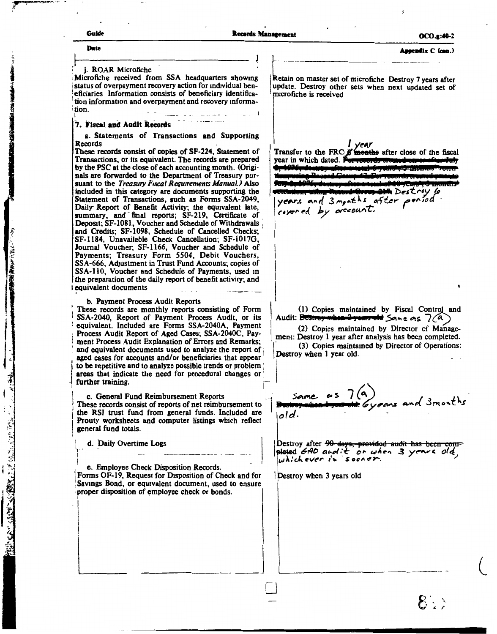「おくいい」ができる種(楽しく)

「その後のみ」と呼ばれる「MARTAL MARTAL MARTAL MARTAL MARTAL

Assendix C (cen.)

j. ROAR Microfiche

Microfiche received from SSA headquarters showing status of overpayment recovery action for individual beneficiaries Information consists of beneficiary identification information and overpayment and recovery informa-· tion.

#### 7. Fiscal and Audit Records

a. Statements of Transactions and Supporting Records

These records consist of copies of SF-224, Statement of Transactions, or its equivalent. The records are prepared by the PSC at the close of each accounting month. (Originals are forwarded to the Department of Treasury pursuant to the Treasury Fiscal Requirements Manual.) Also included in this category are documents supporting the Statement of Transactions, such as Forms SSA-2049, Daily Report of Benefit Activity; the equivalent late, summary, and final reports; SF-219, Certificate of Deposit; SF-1081, Voucher and Schedule of Withdrawals and Credits; SF-1098, Schedule of Cancelled Checks; SF-1184, Unavailable Check Cancellation; SF-1017G, Journal Voucher; SF-1166, Voucher and Schedule of Payments; Treasury Form 5504, Debit Vouchers, SSA-666, Adjustment in Trust Fund Accounts; copies of SSA-110, Voucher and Schedule of Payments, used in the preparation of the daily report of benefit activity; and equivalent documents

b. Payment Process Audit Reports

These records are monthly reports consisting of Form SSA-2040, Report of Payment Process Audit, or its equivalent. Included are Forms SSA-2040A, Payment Process Audit Report of Aged Cases; SSA-2040C, Payment Process Audit Explanation of Errors and Remarks; and equivalent documents used to analyze the report of aged cases for accounts and/or beneficiaries that appear to be repetitive and to analyze possible trends or problem areas that indicate the need for procedural changes or further training.

c. General Fund Reimbursement Reports These records consist of reports of net reimbursement to the RSI trust fund from general funds. Included are Prouty worksheets and computer listings which reflect general fund totals

d. Daily Overtime Logs

e. Employee Check Disposition Records Forms OF-19, Request for Disposition of Check and for Savings Bond, or equivalent document, used to ensure proper disposition of employee check or bonds

Retain on master set of microfiche Destroy 7 years after update. Destroy other sets when next updated set of microfiche is received

 $\frac{1}{\sqrt{2\pi}}$   $\frac{1}{\sqrt{2\pi}}$   $\frac{1}{\sqrt{2\pi}}$   $\frac{1}{\sqrt{2\pi}}$  and  $\frac{1}{\sqrt{2\pi}}$  and  $\frac{1}{\sqrt{2\pi}}$  and  $\frac{1}{\sqrt{2\pi}}$  and  $\frac{1}{\sqrt{2\pi}}$  and  $\frac{1}{\sqrt{2\pi}}$  and  $\frac{1}{\sqrt{2\pi}}$  and  $\frac{1}{\sqrt{2\pi}}$  and  $\frac{1}{\sqrt{2\pi}}$  and  $\frac{1$ year in which dated. **Hestroy** 6 after years and 3 months por*i*od covered by account

(1) Copies maintained by Fiscal Control and Audit: Destroy when 2years old Same as 7(a)

(2) Copies maintained by Director of Management: Destroy 1 year after analysis has been completed. (3) Copies maintained by Director of Operations: Destroy when 1 year old.

Same  $as 7(a)$ iold

Destroy after <del>90 days, provided audit has been com-</del> pleted GAD and it or when 3 years old,

Destroy when 3 years old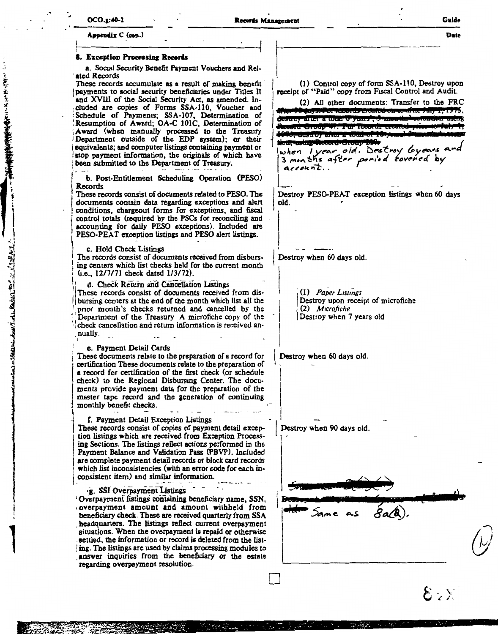このからました ぼうな 友好の方面を受けております

Late Family 2012 1 10 th 1

#### Assendix C (con.) 8. Exception Processing Records a. Social Security Benefit Payment Vouchers and Related Records (1) Control copy of form SSA-110, Destroy upon These records accumulate as a result of making benefit payments to social security beneficiaries under Titles II receipt of "Paid" copy from Fiscal Control and Audit. and XVIII of the Social Security Act, as amended. In-(2) All other documents: Transfer to the FRC cluded are copies of Forms SSA-110, Voucher and 90 days. Por records created  $\begin{array}{c} \hline \text{if } \mathbf{r} \in \mathbb{R} \end{array}$ Schedule of Payments; SSA-107, Determination of Resumption of Award; OA-C 101C, Determination of desiroy arter a total o years cord Group 47. Por record Award (when manually processed to the Treasury Department outside of the EDP system); or their desiroy after equivalents; and computer listings containing payment or when lyear old. Destroy Gyeans and stop payment information, the originals of which have 3 months after ponied tovered by been submitted to the Department of Treasury.  $arcoun$  $t$ . b. Post-Entitlement Scheduling Operation (PESO) Records Destroy PESO-PEAT exception listings when 60 days These records consist of documents related to PESO. The old. documents contain data regarding exceptions and alert conditions, chargeout forms for exceptions, and fiscal control totals (required by the PSCs for reconciling and accounting for daily PESO exceptions). Included are PESO-PEAT exception listings and PESO alert listings. c. Hold Check Listings The records consist of documents received from disburs-Destroy when 60 days old. ing centers which list checks held for the current month (i.e., 12/7/71 check dated 1/3/72). d. Check Return and Cancellation Listings These records consist of documents received from dis-(1) Paper Listings bursing centers at the end of the month which list all the Destroy upon receipt of microfiche (2) Microfiche prior month's checks returned and cancelled by the Destroy when 7 years old Department of the Treasury A microfiche copy of the check cancellation and return information is received annually. e. Payment Detail Cards These documents relate to the preparation of a record for Destroy when 60 days old. certification These documents relate to the preparation of a record for certification of the first check (or schedule check) to the Regional Disbursing Center. The documents provide payment data for the preparation of the master tape record and the generation of continuing monthly benefit checks. f. Payment Detail Exception Listings Destroy when 90 days old. These records consist of copies of payment detail exception listings which are received from Exception Processing Sections. The listings reflect actions performed in the Payment Balance and Validation Pass (PBVP). Included are complete payment detail records or block card records which list inconsistencies (with an error code for each inconsistent item) and similar information. g. SSI Overpayment Listings Overpayment listings containing beneficiary name, SSN, overpayment amount and amount withheld from beneficiary check. These are received quarterly from SSA headquarters. The listings reflect current overpayment situations. When the overpayment is repaid or otherwise settled, the information or record is deleted from the listing. The listings are used by claims processing modules to answer inquiries from the beneficiary or the estate regarding overpayment resolution.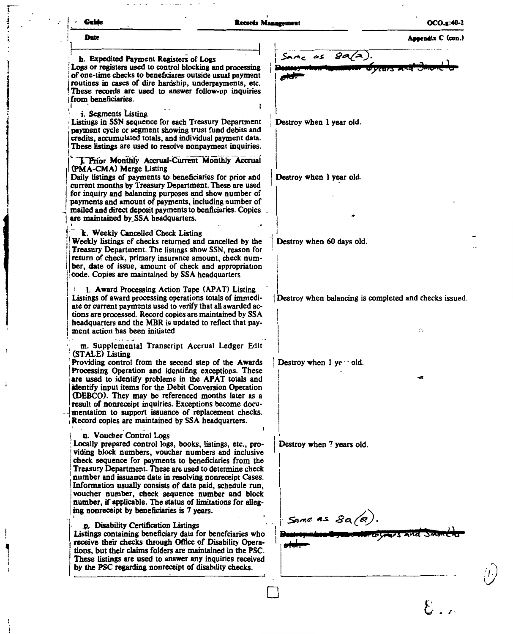| Date<br>Same as $8a/a$<br>h. Expedited Payment Registers of Logs<br>Logs or registers used to control blocking and processing<br>'Years a'<br>of one-time checks to beneficiares outside usual payment<br>routines in cases of dire hardship, underpayments, etc.<br>These records are used to answer follow-up inquiries<br>from beneficiaries.<br>i. Segments Listing<br>Listings in SSN sequence for each Treasury Department<br>Destroy when 1 year old.<br>payment cycle or segment showing trust fund debits and<br>credits, accumulated totals, and individual payment data.<br>These listings are used to resolve nonpayment inquiries.<br>J. Prior Monthly Accrual-Current Monthly Accrual<br>(PMA-CMA) Merge Listing<br>Daily listings of payments to beneficiaries for prior and<br>Destroy when 1 year old.<br>current months by Treasury Department. These are used<br>for inquiry and balancing purposes and show number of<br>payments and amount of payments, including number of<br>mailed and direct deposit payments to benficiaries. Copies _<br>k. Weekly Cancelled Check Listing<br>Weekly listings of checks returned and cancelled by the<br>Destroy when 60 days old.<br>Treasury Department. The listings show SSN, reason for<br>return of check, primary insurance amount, check num-<br>ber, date of issue, amount of check and appropriation<br>code. Copies are maintained by SSA headquarters<br>1. Award Processing Action Tape (APAT) Listing<br>Listings of award processing operations totals of immedi-<br>Destroy when balancing is completed and checks issued.<br>ate or current payments used to verify that all awarded ac-<br>tions are processed. Record copies are maintained by SSA<br>headquarters and the MBR is updated to reflect that pay-<br>ment action has been initiated<br>¢.<br>m. Supplemental Transcript Accrual Ledger Edit<br>Providing control from the second step of the Awards<br>Destroy when 1 ye old.<br>Processing Operation and identifing exceptions. These<br>are used to identify problems in the APAT totals and<br>identify input items for the Debit Conversion Operation<br>(DEBCO). They may be referenced months later as a<br>result of nonreceipt inquiries. Exceptions become docu-<br>mentation to support issuance of replacement checks.<br>Record copies are maintained by SSA headquarters.<br>n. Voucher Control Logs<br>Locally prepared control logs, books, listings, etc., pro-<br>Destroy when 7 years old.<br>viding block numbers, voucher numbers and inclusive<br>check sequence for payments to beneficiaries from the<br>Treasury Department. These are used to determine check<br>number and issuance date in resolving nonreceipt Cases.<br>Information usually consists of date paid, schedule run,<br>voucher number, check sequence number and block<br>number, if applicable. The status of limitations for alleg-<br>ing nonreceipt by beneficiaries is 7 years.<br>Same as $8a(a)$ .<br><b>p.</b> Disability Certification Listings<br>Listings containing beneficiary data for benefciaries who<br>Coverers and Smort<br>receive their checks through Office of Disability Opera-<br>tions, but their claims folders are maintained in the PSC.<br>These listings are used to answer any inquiries received<br>by the PSC regarding nonreceipt of disability checks. | Guide                               | Records Management | OCO.g:40-2        |
|----------------------------------------------------------------------------------------------------------------------------------------------------------------------------------------------------------------------------------------------------------------------------------------------------------------------------------------------------------------------------------------------------------------------------------------------------------------------------------------------------------------------------------------------------------------------------------------------------------------------------------------------------------------------------------------------------------------------------------------------------------------------------------------------------------------------------------------------------------------------------------------------------------------------------------------------------------------------------------------------------------------------------------------------------------------------------------------------------------------------------------------------------------------------------------------------------------------------------------------------------------------------------------------------------------------------------------------------------------------------------------------------------------------------------------------------------------------------------------------------------------------------------------------------------------------------------------------------------------------------------------------------------------------------------------------------------------------------------------------------------------------------------------------------------------------------------------------------------------------------------------------------------------------------------------------------------------------------------------------------------------------------------------------------------------------------------------------------------------------------------------------------------------------------------------------------------------------------------------------------------------------------------------------------------------------------------------------------------------------------------------------------------------------------------------------------------------------------------------------------------------------------------------------------------------------------------------------------------------------------------------------------------------------------------------------------------------------------------------------------------------------------------------------------------------------------------------------------------------------------------------------------------------------------------------------------------------------------------------------------------------------------------------------------------------------------------------------------------------------------------------------------------------------------------------------------------------------------------------------------------------------------------------------------------------------------------------------------------------------------------------|-------------------------------------|--------------------|-------------------|
|                                                                                                                                                                                                                                                                                                                                                                                                                                                                                                                                                                                                                                                                                                                                                                                                                                                                                                                                                                                                                                                                                                                                                                                                                                                                                                                                                                                                                                                                                                                                                                                                                                                                                                                                                                                                                                                                                                                                                                                                                                                                                                                                                                                                                                                                                                                                                                                                                                                                                                                                                                                                                                                                                                                                                                                                                                                                                                                                                                                                                                                                                                                                                                                                                                                                                                                                                                                  |                                     |                    | Appendix C (con.) |
|                                                                                                                                                                                                                                                                                                                                                                                                                                                                                                                                                                                                                                                                                                                                                                                                                                                                                                                                                                                                                                                                                                                                                                                                                                                                                                                                                                                                                                                                                                                                                                                                                                                                                                                                                                                                                                                                                                                                                                                                                                                                                                                                                                                                                                                                                                                                                                                                                                                                                                                                                                                                                                                                                                                                                                                                                                                                                                                                                                                                                                                                                                                                                                                                                                                                                                                                                                                  |                                     |                    |                   |
|                                                                                                                                                                                                                                                                                                                                                                                                                                                                                                                                                                                                                                                                                                                                                                                                                                                                                                                                                                                                                                                                                                                                                                                                                                                                                                                                                                                                                                                                                                                                                                                                                                                                                                                                                                                                                                                                                                                                                                                                                                                                                                                                                                                                                                                                                                                                                                                                                                                                                                                                                                                                                                                                                                                                                                                                                                                                                                                                                                                                                                                                                                                                                                                                                                                                                                                                                                                  |                                     |                    |                   |
|                                                                                                                                                                                                                                                                                                                                                                                                                                                                                                                                                                                                                                                                                                                                                                                                                                                                                                                                                                                                                                                                                                                                                                                                                                                                                                                                                                                                                                                                                                                                                                                                                                                                                                                                                                                                                                                                                                                                                                                                                                                                                                                                                                                                                                                                                                                                                                                                                                                                                                                                                                                                                                                                                                                                                                                                                                                                                                                                                                                                                                                                                                                                                                                                                                                                                                                                                                                  |                                     |                    |                   |
|                                                                                                                                                                                                                                                                                                                                                                                                                                                                                                                                                                                                                                                                                                                                                                                                                                                                                                                                                                                                                                                                                                                                                                                                                                                                                                                                                                                                                                                                                                                                                                                                                                                                                                                                                                                                                                                                                                                                                                                                                                                                                                                                                                                                                                                                                                                                                                                                                                                                                                                                                                                                                                                                                                                                                                                                                                                                                                                                                                                                                                                                                                                                                                                                                                                                                                                                                                                  |                                     |                    |                   |
|                                                                                                                                                                                                                                                                                                                                                                                                                                                                                                                                                                                                                                                                                                                                                                                                                                                                                                                                                                                                                                                                                                                                                                                                                                                                                                                                                                                                                                                                                                                                                                                                                                                                                                                                                                                                                                                                                                                                                                                                                                                                                                                                                                                                                                                                                                                                                                                                                                                                                                                                                                                                                                                                                                                                                                                                                                                                                                                                                                                                                                                                                                                                                                                                                                                                                                                                                                                  |                                     |                    |                   |
|                                                                                                                                                                                                                                                                                                                                                                                                                                                                                                                                                                                                                                                                                                                                                                                                                                                                                                                                                                                                                                                                                                                                                                                                                                                                                                                                                                                                                                                                                                                                                                                                                                                                                                                                                                                                                                                                                                                                                                                                                                                                                                                                                                                                                                                                                                                                                                                                                                                                                                                                                                                                                                                                                                                                                                                                                                                                                                                                                                                                                                                                                                                                                                                                                                                                                                                                                                                  |                                     |                    |                   |
|                                                                                                                                                                                                                                                                                                                                                                                                                                                                                                                                                                                                                                                                                                                                                                                                                                                                                                                                                                                                                                                                                                                                                                                                                                                                                                                                                                                                                                                                                                                                                                                                                                                                                                                                                                                                                                                                                                                                                                                                                                                                                                                                                                                                                                                                                                                                                                                                                                                                                                                                                                                                                                                                                                                                                                                                                                                                                                                                                                                                                                                                                                                                                                                                                                                                                                                                                                                  |                                     |                    |                   |
|                                                                                                                                                                                                                                                                                                                                                                                                                                                                                                                                                                                                                                                                                                                                                                                                                                                                                                                                                                                                                                                                                                                                                                                                                                                                                                                                                                                                                                                                                                                                                                                                                                                                                                                                                                                                                                                                                                                                                                                                                                                                                                                                                                                                                                                                                                                                                                                                                                                                                                                                                                                                                                                                                                                                                                                                                                                                                                                                                                                                                                                                                                                                                                                                                                                                                                                                                                                  |                                     |                    |                   |
|                                                                                                                                                                                                                                                                                                                                                                                                                                                                                                                                                                                                                                                                                                                                                                                                                                                                                                                                                                                                                                                                                                                                                                                                                                                                                                                                                                                                                                                                                                                                                                                                                                                                                                                                                                                                                                                                                                                                                                                                                                                                                                                                                                                                                                                                                                                                                                                                                                                                                                                                                                                                                                                                                                                                                                                                                                                                                                                                                                                                                                                                                                                                                                                                                                                                                                                                                                                  |                                     |                    |                   |
|                                                                                                                                                                                                                                                                                                                                                                                                                                                                                                                                                                                                                                                                                                                                                                                                                                                                                                                                                                                                                                                                                                                                                                                                                                                                                                                                                                                                                                                                                                                                                                                                                                                                                                                                                                                                                                                                                                                                                                                                                                                                                                                                                                                                                                                                                                                                                                                                                                                                                                                                                                                                                                                                                                                                                                                                                                                                                                                                                                                                                                                                                                                                                                                                                                                                                                                                                                                  |                                     |                    |                   |
|                                                                                                                                                                                                                                                                                                                                                                                                                                                                                                                                                                                                                                                                                                                                                                                                                                                                                                                                                                                                                                                                                                                                                                                                                                                                                                                                                                                                                                                                                                                                                                                                                                                                                                                                                                                                                                                                                                                                                                                                                                                                                                                                                                                                                                                                                                                                                                                                                                                                                                                                                                                                                                                                                                                                                                                                                                                                                                                                                                                                                                                                                                                                                                                                                                                                                                                                                                                  |                                     |                    |                   |
|                                                                                                                                                                                                                                                                                                                                                                                                                                                                                                                                                                                                                                                                                                                                                                                                                                                                                                                                                                                                                                                                                                                                                                                                                                                                                                                                                                                                                                                                                                                                                                                                                                                                                                                                                                                                                                                                                                                                                                                                                                                                                                                                                                                                                                                                                                                                                                                                                                                                                                                                                                                                                                                                                                                                                                                                                                                                                                                                                                                                                                                                                                                                                                                                                                                                                                                                                                                  |                                     |                    |                   |
|                                                                                                                                                                                                                                                                                                                                                                                                                                                                                                                                                                                                                                                                                                                                                                                                                                                                                                                                                                                                                                                                                                                                                                                                                                                                                                                                                                                                                                                                                                                                                                                                                                                                                                                                                                                                                                                                                                                                                                                                                                                                                                                                                                                                                                                                                                                                                                                                                                                                                                                                                                                                                                                                                                                                                                                                                                                                                                                                                                                                                                                                                                                                                                                                                                                                                                                                                                                  |                                     |                    |                   |
|                                                                                                                                                                                                                                                                                                                                                                                                                                                                                                                                                                                                                                                                                                                                                                                                                                                                                                                                                                                                                                                                                                                                                                                                                                                                                                                                                                                                                                                                                                                                                                                                                                                                                                                                                                                                                                                                                                                                                                                                                                                                                                                                                                                                                                                                                                                                                                                                                                                                                                                                                                                                                                                                                                                                                                                                                                                                                                                                                                                                                                                                                                                                                                                                                                                                                                                                                                                  |                                     |                    |                   |
|                                                                                                                                                                                                                                                                                                                                                                                                                                                                                                                                                                                                                                                                                                                                                                                                                                                                                                                                                                                                                                                                                                                                                                                                                                                                                                                                                                                                                                                                                                                                                                                                                                                                                                                                                                                                                                                                                                                                                                                                                                                                                                                                                                                                                                                                                                                                                                                                                                                                                                                                                                                                                                                                                                                                                                                                                                                                                                                                                                                                                                                                                                                                                                                                                                                                                                                                                                                  |                                     |                    |                   |
|                                                                                                                                                                                                                                                                                                                                                                                                                                                                                                                                                                                                                                                                                                                                                                                                                                                                                                                                                                                                                                                                                                                                                                                                                                                                                                                                                                                                                                                                                                                                                                                                                                                                                                                                                                                                                                                                                                                                                                                                                                                                                                                                                                                                                                                                                                                                                                                                                                                                                                                                                                                                                                                                                                                                                                                                                                                                                                                                                                                                                                                                                                                                                                                                                                                                                                                                                                                  |                                     |                    |                   |
|                                                                                                                                                                                                                                                                                                                                                                                                                                                                                                                                                                                                                                                                                                                                                                                                                                                                                                                                                                                                                                                                                                                                                                                                                                                                                                                                                                                                                                                                                                                                                                                                                                                                                                                                                                                                                                                                                                                                                                                                                                                                                                                                                                                                                                                                                                                                                                                                                                                                                                                                                                                                                                                                                                                                                                                                                                                                                                                                                                                                                                                                                                                                                                                                                                                                                                                                                                                  |                                     |                    |                   |
|                                                                                                                                                                                                                                                                                                                                                                                                                                                                                                                                                                                                                                                                                                                                                                                                                                                                                                                                                                                                                                                                                                                                                                                                                                                                                                                                                                                                                                                                                                                                                                                                                                                                                                                                                                                                                                                                                                                                                                                                                                                                                                                                                                                                                                                                                                                                                                                                                                                                                                                                                                                                                                                                                                                                                                                                                                                                                                                                                                                                                                                                                                                                                                                                                                                                                                                                                                                  |                                     |                    |                   |
|                                                                                                                                                                                                                                                                                                                                                                                                                                                                                                                                                                                                                                                                                                                                                                                                                                                                                                                                                                                                                                                                                                                                                                                                                                                                                                                                                                                                                                                                                                                                                                                                                                                                                                                                                                                                                                                                                                                                                                                                                                                                                                                                                                                                                                                                                                                                                                                                                                                                                                                                                                                                                                                                                                                                                                                                                                                                                                                                                                                                                                                                                                                                                                                                                                                                                                                                                                                  | are maintained by SSA headquarters. |                    |                   |
|                                                                                                                                                                                                                                                                                                                                                                                                                                                                                                                                                                                                                                                                                                                                                                                                                                                                                                                                                                                                                                                                                                                                                                                                                                                                                                                                                                                                                                                                                                                                                                                                                                                                                                                                                                                                                                                                                                                                                                                                                                                                                                                                                                                                                                                                                                                                                                                                                                                                                                                                                                                                                                                                                                                                                                                                                                                                                                                                                                                                                                                                                                                                                                                                                                                                                                                                                                                  |                                     |                    |                   |
|                                                                                                                                                                                                                                                                                                                                                                                                                                                                                                                                                                                                                                                                                                                                                                                                                                                                                                                                                                                                                                                                                                                                                                                                                                                                                                                                                                                                                                                                                                                                                                                                                                                                                                                                                                                                                                                                                                                                                                                                                                                                                                                                                                                                                                                                                                                                                                                                                                                                                                                                                                                                                                                                                                                                                                                                                                                                                                                                                                                                                                                                                                                                                                                                                                                                                                                                                                                  |                                     |                    |                   |
|                                                                                                                                                                                                                                                                                                                                                                                                                                                                                                                                                                                                                                                                                                                                                                                                                                                                                                                                                                                                                                                                                                                                                                                                                                                                                                                                                                                                                                                                                                                                                                                                                                                                                                                                                                                                                                                                                                                                                                                                                                                                                                                                                                                                                                                                                                                                                                                                                                                                                                                                                                                                                                                                                                                                                                                                                                                                                                                                                                                                                                                                                                                                                                                                                                                                                                                                                                                  |                                     |                    |                   |
|                                                                                                                                                                                                                                                                                                                                                                                                                                                                                                                                                                                                                                                                                                                                                                                                                                                                                                                                                                                                                                                                                                                                                                                                                                                                                                                                                                                                                                                                                                                                                                                                                                                                                                                                                                                                                                                                                                                                                                                                                                                                                                                                                                                                                                                                                                                                                                                                                                                                                                                                                                                                                                                                                                                                                                                                                                                                                                                                                                                                                                                                                                                                                                                                                                                                                                                                                                                  |                                     |                    |                   |
|                                                                                                                                                                                                                                                                                                                                                                                                                                                                                                                                                                                                                                                                                                                                                                                                                                                                                                                                                                                                                                                                                                                                                                                                                                                                                                                                                                                                                                                                                                                                                                                                                                                                                                                                                                                                                                                                                                                                                                                                                                                                                                                                                                                                                                                                                                                                                                                                                                                                                                                                                                                                                                                                                                                                                                                                                                                                                                                                                                                                                                                                                                                                                                                                                                                                                                                                                                                  |                                     |                    |                   |
|                                                                                                                                                                                                                                                                                                                                                                                                                                                                                                                                                                                                                                                                                                                                                                                                                                                                                                                                                                                                                                                                                                                                                                                                                                                                                                                                                                                                                                                                                                                                                                                                                                                                                                                                                                                                                                                                                                                                                                                                                                                                                                                                                                                                                                                                                                                                                                                                                                                                                                                                                                                                                                                                                                                                                                                                                                                                                                                                                                                                                                                                                                                                                                                                                                                                                                                                                                                  |                                     |                    |                   |
|                                                                                                                                                                                                                                                                                                                                                                                                                                                                                                                                                                                                                                                                                                                                                                                                                                                                                                                                                                                                                                                                                                                                                                                                                                                                                                                                                                                                                                                                                                                                                                                                                                                                                                                                                                                                                                                                                                                                                                                                                                                                                                                                                                                                                                                                                                                                                                                                                                                                                                                                                                                                                                                                                                                                                                                                                                                                                                                                                                                                                                                                                                                                                                                                                                                                                                                                                                                  |                                     |                    |                   |
|                                                                                                                                                                                                                                                                                                                                                                                                                                                                                                                                                                                                                                                                                                                                                                                                                                                                                                                                                                                                                                                                                                                                                                                                                                                                                                                                                                                                                                                                                                                                                                                                                                                                                                                                                                                                                                                                                                                                                                                                                                                                                                                                                                                                                                                                                                                                                                                                                                                                                                                                                                                                                                                                                                                                                                                                                                                                                                                                                                                                                                                                                                                                                                                                                                                                                                                                                                                  |                                     |                    |                   |
|                                                                                                                                                                                                                                                                                                                                                                                                                                                                                                                                                                                                                                                                                                                                                                                                                                                                                                                                                                                                                                                                                                                                                                                                                                                                                                                                                                                                                                                                                                                                                                                                                                                                                                                                                                                                                                                                                                                                                                                                                                                                                                                                                                                                                                                                                                                                                                                                                                                                                                                                                                                                                                                                                                                                                                                                                                                                                                                                                                                                                                                                                                                                                                                                                                                                                                                                                                                  |                                     |                    |                   |
|                                                                                                                                                                                                                                                                                                                                                                                                                                                                                                                                                                                                                                                                                                                                                                                                                                                                                                                                                                                                                                                                                                                                                                                                                                                                                                                                                                                                                                                                                                                                                                                                                                                                                                                                                                                                                                                                                                                                                                                                                                                                                                                                                                                                                                                                                                                                                                                                                                                                                                                                                                                                                                                                                                                                                                                                                                                                                                                                                                                                                                                                                                                                                                                                                                                                                                                                                                                  |                                     |                    |                   |
|                                                                                                                                                                                                                                                                                                                                                                                                                                                                                                                                                                                                                                                                                                                                                                                                                                                                                                                                                                                                                                                                                                                                                                                                                                                                                                                                                                                                                                                                                                                                                                                                                                                                                                                                                                                                                                                                                                                                                                                                                                                                                                                                                                                                                                                                                                                                                                                                                                                                                                                                                                                                                                                                                                                                                                                                                                                                                                                                                                                                                                                                                                                                                                                                                                                                                                                                                                                  |                                     |                    |                   |
|                                                                                                                                                                                                                                                                                                                                                                                                                                                                                                                                                                                                                                                                                                                                                                                                                                                                                                                                                                                                                                                                                                                                                                                                                                                                                                                                                                                                                                                                                                                                                                                                                                                                                                                                                                                                                                                                                                                                                                                                                                                                                                                                                                                                                                                                                                                                                                                                                                                                                                                                                                                                                                                                                                                                                                                                                                                                                                                                                                                                                                                                                                                                                                                                                                                                                                                                                                                  |                                     |                    |                   |
|                                                                                                                                                                                                                                                                                                                                                                                                                                                                                                                                                                                                                                                                                                                                                                                                                                                                                                                                                                                                                                                                                                                                                                                                                                                                                                                                                                                                                                                                                                                                                                                                                                                                                                                                                                                                                                                                                                                                                                                                                                                                                                                                                                                                                                                                                                                                                                                                                                                                                                                                                                                                                                                                                                                                                                                                                                                                                                                                                                                                                                                                                                                                                                                                                                                                                                                                                                                  |                                     |                    |                   |
|                                                                                                                                                                                                                                                                                                                                                                                                                                                                                                                                                                                                                                                                                                                                                                                                                                                                                                                                                                                                                                                                                                                                                                                                                                                                                                                                                                                                                                                                                                                                                                                                                                                                                                                                                                                                                                                                                                                                                                                                                                                                                                                                                                                                                                                                                                                                                                                                                                                                                                                                                                                                                                                                                                                                                                                                                                                                                                                                                                                                                                                                                                                                                                                                                                                                                                                                                                                  |                                     |                    |                   |
|                                                                                                                                                                                                                                                                                                                                                                                                                                                                                                                                                                                                                                                                                                                                                                                                                                                                                                                                                                                                                                                                                                                                                                                                                                                                                                                                                                                                                                                                                                                                                                                                                                                                                                                                                                                                                                                                                                                                                                                                                                                                                                                                                                                                                                                                                                                                                                                                                                                                                                                                                                                                                                                                                                                                                                                                                                                                                                                                                                                                                                                                                                                                                                                                                                                                                                                                                                                  | (STALE) Listing                     |                    |                   |
|                                                                                                                                                                                                                                                                                                                                                                                                                                                                                                                                                                                                                                                                                                                                                                                                                                                                                                                                                                                                                                                                                                                                                                                                                                                                                                                                                                                                                                                                                                                                                                                                                                                                                                                                                                                                                                                                                                                                                                                                                                                                                                                                                                                                                                                                                                                                                                                                                                                                                                                                                                                                                                                                                                                                                                                                                                                                                                                                                                                                                                                                                                                                                                                                                                                                                                                                                                                  |                                     |                    |                   |
|                                                                                                                                                                                                                                                                                                                                                                                                                                                                                                                                                                                                                                                                                                                                                                                                                                                                                                                                                                                                                                                                                                                                                                                                                                                                                                                                                                                                                                                                                                                                                                                                                                                                                                                                                                                                                                                                                                                                                                                                                                                                                                                                                                                                                                                                                                                                                                                                                                                                                                                                                                                                                                                                                                                                                                                                                                                                                                                                                                                                                                                                                                                                                                                                                                                                                                                                                                                  |                                     |                    |                   |
|                                                                                                                                                                                                                                                                                                                                                                                                                                                                                                                                                                                                                                                                                                                                                                                                                                                                                                                                                                                                                                                                                                                                                                                                                                                                                                                                                                                                                                                                                                                                                                                                                                                                                                                                                                                                                                                                                                                                                                                                                                                                                                                                                                                                                                                                                                                                                                                                                                                                                                                                                                                                                                                                                                                                                                                                                                                                                                                                                                                                                                                                                                                                                                                                                                                                                                                                                                                  |                                     |                    |                   |
|                                                                                                                                                                                                                                                                                                                                                                                                                                                                                                                                                                                                                                                                                                                                                                                                                                                                                                                                                                                                                                                                                                                                                                                                                                                                                                                                                                                                                                                                                                                                                                                                                                                                                                                                                                                                                                                                                                                                                                                                                                                                                                                                                                                                                                                                                                                                                                                                                                                                                                                                                                                                                                                                                                                                                                                                                                                                                                                                                                                                                                                                                                                                                                                                                                                                                                                                                                                  |                                     |                    |                   |
|                                                                                                                                                                                                                                                                                                                                                                                                                                                                                                                                                                                                                                                                                                                                                                                                                                                                                                                                                                                                                                                                                                                                                                                                                                                                                                                                                                                                                                                                                                                                                                                                                                                                                                                                                                                                                                                                                                                                                                                                                                                                                                                                                                                                                                                                                                                                                                                                                                                                                                                                                                                                                                                                                                                                                                                                                                                                                                                                                                                                                                                                                                                                                                                                                                                                                                                                                                                  |                                     |                    |                   |
|                                                                                                                                                                                                                                                                                                                                                                                                                                                                                                                                                                                                                                                                                                                                                                                                                                                                                                                                                                                                                                                                                                                                                                                                                                                                                                                                                                                                                                                                                                                                                                                                                                                                                                                                                                                                                                                                                                                                                                                                                                                                                                                                                                                                                                                                                                                                                                                                                                                                                                                                                                                                                                                                                                                                                                                                                                                                                                                                                                                                                                                                                                                                                                                                                                                                                                                                                                                  |                                     |                    |                   |
|                                                                                                                                                                                                                                                                                                                                                                                                                                                                                                                                                                                                                                                                                                                                                                                                                                                                                                                                                                                                                                                                                                                                                                                                                                                                                                                                                                                                                                                                                                                                                                                                                                                                                                                                                                                                                                                                                                                                                                                                                                                                                                                                                                                                                                                                                                                                                                                                                                                                                                                                                                                                                                                                                                                                                                                                                                                                                                                                                                                                                                                                                                                                                                                                                                                                                                                                                                                  |                                     |                    |                   |
|                                                                                                                                                                                                                                                                                                                                                                                                                                                                                                                                                                                                                                                                                                                                                                                                                                                                                                                                                                                                                                                                                                                                                                                                                                                                                                                                                                                                                                                                                                                                                                                                                                                                                                                                                                                                                                                                                                                                                                                                                                                                                                                                                                                                                                                                                                                                                                                                                                                                                                                                                                                                                                                                                                                                                                                                                                                                                                                                                                                                                                                                                                                                                                                                                                                                                                                                                                                  |                                     |                    |                   |
|                                                                                                                                                                                                                                                                                                                                                                                                                                                                                                                                                                                                                                                                                                                                                                                                                                                                                                                                                                                                                                                                                                                                                                                                                                                                                                                                                                                                                                                                                                                                                                                                                                                                                                                                                                                                                                                                                                                                                                                                                                                                                                                                                                                                                                                                                                                                                                                                                                                                                                                                                                                                                                                                                                                                                                                                                                                                                                                                                                                                                                                                                                                                                                                                                                                                                                                                                                                  |                                     |                    |                   |
|                                                                                                                                                                                                                                                                                                                                                                                                                                                                                                                                                                                                                                                                                                                                                                                                                                                                                                                                                                                                                                                                                                                                                                                                                                                                                                                                                                                                                                                                                                                                                                                                                                                                                                                                                                                                                                                                                                                                                                                                                                                                                                                                                                                                                                                                                                                                                                                                                                                                                                                                                                                                                                                                                                                                                                                                                                                                                                                                                                                                                                                                                                                                                                                                                                                                                                                                                                                  |                                     |                    |                   |
|                                                                                                                                                                                                                                                                                                                                                                                                                                                                                                                                                                                                                                                                                                                                                                                                                                                                                                                                                                                                                                                                                                                                                                                                                                                                                                                                                                                                                                                                                                                                                                                                                                                                                                                                                                                                                                                                                                                                                                                                                                                                                                                                                                                                                                                                                                                                                                                                                                                                                                                                                                                                                                                                                                                                                                                                                                                                                                                                                                                                                                                                                                                                                                                                                                                                                                                                                                                  |                                     |                    |                   |
|                                                                                                                                                                                                                                                                                                                                                                                                                                                                                                                                                                                                                                                                                                                                                                                                                                                                                                                                                                                                                                                                                                                                                                                                                                                                                                                                                                                                                                                                                                                                                                                                                                                                                                                                                                                                                                                                                                                                                                                                                                                                                                                                                                                                                                                                                                                                                                                                                                                                                                                                                                                                                                                                                                                                                                                                                                                                                                                                                                                                                                                                                                                                                                                                                                                                                                                                                                                  |                                     |                    |                   |
|                                                                                                                                                                                                                                                                                                                                                                                                                                                                                                                                                                                                                                                                                                                                                                                                                                                                                                                                                                                                                                                                                                                                                                                                                                                                                                                                                                                                                                                                                                                                                                                                                                                                                                                                                                                                                                                                                                                                                                                                                                                                                                                                                                                                                                                                                                                                                                                                                                                                                                                                                                                                                                                                                                                                                                                                                                                                                                                                                                                                                                                                                                                                                                                                                                                                                                                                                                                  |                                     |                    |                   |
|                                                                                                                                                                                                                                                                                                                                                                                                                                                                                                                                                                                                                                                                                                                                                                                                                                                                                                                                                                                                                                                                                                                                                                                                                                                                                                                                                                                                                                                                                                                                                                                                                                                                                                                                                                                                                                                                                                                                                                                                                                                                                                                                                                                                                                                                                                                                                                                                                                                                                                                                                                                                                                                                                                                                                                                                                                                                                                                                                                                                                                                                                                                                                                                                                                                                                                                                                                                  |                                     |                    |                   |
|                                                                                                                                                                                                                                                                                                                                                                                                                                                                                                                                                                                                                                                                                                                                                                                                                                                                                                                                                                                                                                                                                                                                                                                                                                                                                                                                                                                                                                                                                                                                                                                                                                                                                                                                                                                                                                                                                                                                                                                                                                                                                                                                                                                                                                                                                                                                                                                                                                                                                                                                                                                                                                                                                                                                                                                                                                                                                                                                                                                                                                                                                                                                                                                                                                                                                                                                                                                  |                                     |                    |                   |
|                                                                                                                                                                                                                                                                                                                                                                                                                                                                                                                                                                                                                                                                                                                                                                                                                                                                                                                                                                                                                                                                                                                                                                                                                                                                                                                                                                                                                                                                                                                                                                                                                                                                                                                                                                                                                                                                                                                                                                                                                                                                                                                                                                                                                                                                                                                                                                                                                                                                                                                                                                                                                                                                                                                                                                                                                                                                                                                                                                                                                                                                                                                                                                                                                                                                                                                                                                                  |                                     |                    |                   |
|                                                                                                                                                                                                                                                                                                                                                                                                                                                                                                                                                                                                                                                                                                                                                                                                                                                                                                                                                                                                                                                                                                                                                                                                                                                                                                                                                                                                                                                                                                                                                                                                                                                                                                                                                                                                                                                                                                                                                                                                                                                                                                                                                                                                                                                                                                                                                                                                                                                                                                                                                                                                                                                                                                                                                                                                                                                                                                                                                                                                                                                                                                                                                                                                                                                                                                                                                                                  |                                     |                    |                   |
|                                                                                                                                                                                                                                                                                                                                                                                                                                                                                                                                                                                                                                                                                                                                                                                                                                                                                                                                                                                                                                                                                                                                                                                                                                                                                                                                                                                                                                                                                                                                                                                                                                                                                                                                                                                                                                                                                                                                                                                                                                                                                                                                                                                                                                                                                                                                                                                                                                                                                                                                                                                                                                                                                                                                                                                                                                                                                                                                                                                                                                                                                                                                                                                                                                                                                                                                                                                  |                                     |                    |                   |
|                                                                                                                                                                                                                                                                                                                                                                                                                                                                                                                                                                                                                                                                                                                                                                                                                                                                                                                                                                                                                                                                                                                                                                                                                                                                                                                                                                                                                                                                                                                                                                                                                                                                                                                                                                                                                                                                                                                                                                                                                                                                                                                                                                                                                                                                                                                                                                                                                                                                                                                                                                                                                                                                                                                                                                                                                                                                                                                                                                                                                                                                                                                                                                                                                                                                                                                                                                                  |                                     |                    |                   |
|                                                                                                                                                                                                                                                                                                                                                                                                                                                                                                                                                                                                                                                                                                                                                                                                                                                                                                                                                                                                                                                                                                                                                                                                                                                                                                                                                                                                                                                                                                                                                                                                                                                                                                                                                                                                                                                                                                                                                                                                                                                                                                                                                                                                                                                                                                                                                                                                                                                                                                                                                                                                                                                                                                                                                                                                                                                                                                                                                                                                                                                                                                                                                                                                                                                                                                                                                                                  |                                     |                    |                   |
|                                                                                                                                                                                                                                                                                                                                                                                                                                                                                                                                                                                                                                                                                                                                                                                                                                                                                                                                                                                                                                                                                                                                                                                                                                                                                                                                                                                                                                                                                                                                                                                                                                                                                                                                                                                                                                                                                                                                                                                                                                                                                                                                                                                                                                                                                                                                                                                                                                                                                                                                                                                                                                                                                                                                                                                                                                                                                                                                                                                                                                                                                                                                                                                                                                                                                                                                                                                  |                                     |                    |                   |
|                                                                                                                                                                                                                                                                                                                                                                                                                                                                                                                                                                                                                                                                                                                                                                                                                                                                                                                                                                                                                                                                                                                                                                                                                                                                                                                                                                                                                                                                                                                                                                                                                                                                                                                                                                                                                                                                                                                                                                                                                                                                                                                                                                                                                                                                                                                                                                                                                                                                                                                                                                                                                                                                                                                                                                                                                                                                                                                                                                                                                                                                                                                                                                                                                                                                                                                                                                                  |                                     |                    |                   |
|                                                                                                                                                                                                                                                                                                                                                                                                                                                                                                                                                                                                                                                                                                                                                                                                                                                                                                                                                                                                                                                                                                                                                                                                                                                                                                                                                                                                                                                                                                                                                                                                                                                                                                                                                                                                                                                                                                                                                                                                                                                                                                                                                                                                                                                                                                                                                                                                                                                                                                                                                                                                                                                                                                                                                                                                                                                                                                                                                                                                                                                                                                                                                                                                                                                                                                                                                                                  |                                     |                    |                   |
|                                                                                                                                                                                                                                                                                                                                                                                                                                                                                                                                                                                                                                                                                                                                                                                                                                                                                                                                                                                                                                                                                                                                                                                                                                                                                                                                                                                                                                                                                                                                                                                                                                                                                                                                                                                                                                                                                                                                                                                                                                                                                                                                                                                                                                                                                                                                                                                                                                                                                                                                                                                                                                                                                                                                                                                                                                                                                                                                                                                                                                                                                                                                                                                                                                                                                                                                                                                  |                                     |                    |                   |
|                                                                                                                                                                                                                                                                                                                                                                                                                                                                                                                                                                                                                                                                                                                                                                                                                                                                                                                                                                                                                                                                                                                                                                                                                                                                                                                                                                                                                                                                                                                                                                                                                                                                                                                                                                                                                                                                                                                                                                                                                                                                                                                                                                                                                                                                                                                                                                                                                                                                                                                                                                                                                                                                                                                                                                                                                                                                                                                                                                                                                                                                                                                                                                                                                                                                                                                                                                                  |                                     |                    |                   |
|                                                                                                                                                                                                                                                                                                                                                                                                                                                                                                                                                                                                                                                                                                                                                                                                                                                                                                                                                                                                                                                                                                                                                                                                                                                                                                                                                                                                                                                                                                                                                                                                                                                                                                                                                                                                                                                                                                                                                                                                                                                                                                                                                                                                                                                                                                                                                                                                                                                                                                                                                                                                                                                                                                                                                                                                                                                                                                                                                                                                                                                                                                                                                                                                                                                                                                                                                                                  |                                     |                    |                   |

The Company of the

 $\ddot{i}$ 

ļ

 $\frac{i}{i}$ 

 $\mathbf{I}$ 

 $\mathbf{r}$ 

 $\hat{v}$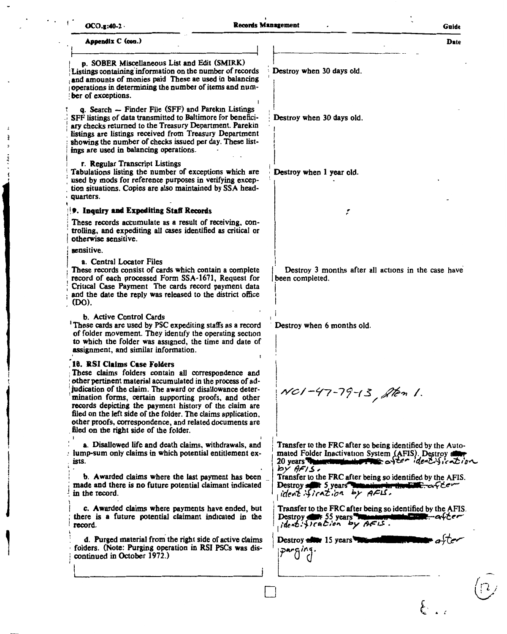| $OCO.g. 40-2$                                                                                                                                                                                                                                                                                                                                                                                                                                                                                         | <b>Records Management</b>                                                                                                                                                    | Guide |
|-------------------------------------------------------------------------------------------------------------------------------------------------------------------------------------------------------------------------------------------------------------------------------------------------------------------------------------------------------------------------------------------------------------------------------------------------------------------------------------------------------|------------------------------------------------------------------------------------------------------------------------------------------------------------------------------|-------|
| Appendix C (con.)                                                                                                                                                                                                                                                                                                                                                                                                                                                                                     |                                                                                                                                                                              | Date  |
| p. SOBER Miscellaneous List and Edit (SMIRK)<br>Listings containing information on the number of records<br>and amounts of monies paid These ae used in balancing<br>operations in determining the number of items and num-<br>ber of exceptions.                                                                                                                                                                                                                                                     | Destroy when 30 days old.                                                                                                                                                    |       |
| q. Search - Finder File (SFF) and Parekin Listings<br>SFF listings of data transmitted to Baltimore for benefici-<br>ary checks returned to the Treasury Department. Parekin<br>listings are listings received from Treasury Department<br>showing the number of checks issued per day. These list-<br>ings are used in balancing operations.                                                                                                                                                         | Destroy when 30 days old.                                                                                                                                                    |       |
| r. Regular Transcript Listings<br>Tabulations listing the number of exceptions which are<br>used by mods for reference purposes in verifying excep-<br>tion situations. Copies are also maintained by SSA head-<br>quarters.                                                                                                                                                                                                                                                                          | Destroy when 1 year old.                                                                                                                                                     |       |
| 9. Inquiry and Expediting Staff Records                                                                                                                                                                                                                                                                                                                                                                                                                                                               | t                                                                                                                                                                            |       |
| These records accumulate as a result of receiving, con-<br>trolling, and expediting all cases identified as critical or<br>otherwise sensitive.                                                                                                                                                                                                                                                                                                                                                       |                                                                                                                                                                              |       |
| sensitive.                                                                                                                                                                                                                                                                                                                                                                                                                                                                                            |                                                                                                                                                                              |       |
| a. Central Locator Files<br>These records consist of cards which contain a complete<br>record of each processed Form SSA-1671, Request for<br>Critical Case Payment The cards record payment data<br>and the date the reply was released to the district office<br>(DO).                                                                                                                                                                                                                              | Destroy 3 months after all actions in the case have<br>been completed.                                                                                                       |       |
| b. Active Control Cards<br><sup>1</sup> These cards are used by PSC expediting staffs as a record<br>of folder movement. They identify the operating section<br>to which the folder was assigned, the time and date of<br>assignment, and similar information.                                                                                                                                                                                                                                        | Destroy when 6 months old.                                                                                                                                                   |       |
| 10. RSI Claims Case Folders<br>These claims folders contain all correspondence and<br>other pertinent material accumulated in the process of ad-<br>judication of the claim. The award or disallowance deter-<br>mination forms, certain supporting proofs, and other<br>records depicting the payment history of the claim are<br>filed on the left side of the folder. The claims application,<br>other proofs, correspondence, and related documents are<br>filed on the right side of the folder. | NC1-47-79-13, Aten 1.                                                                                                                                                        |       |
| a. Disallowed life and death claims, withdrawals, and<br>lump-sum only claims in which potential entitlement ex-<br>ists.                                                                                                                                                                                                                                                                                                                                                                             | Transfer to the FRC after so being identified by the Auto-<br>mated Folder Inactivation System (AFIS). Destroy aller<br>20 years The communication that a fee identification |       |
| b. Awarded claims where the last payment has been<br>made and there is no future potential claimant indicated<br>in the record.                                                                                                                                                                                                                                                                                                                                                                       | $by$ AFIS.<br>Transfer to the FRC after being so identified by the AFIS.<br>Destroy and 5 years women in the EUC. a few<br>ident firation by AFL.                            |       |
| c. Awarded claims where payments have ended, but<br>there is a future potential claimant indicated in the<br>record.                                                                                                                                                                                                                                                                                                                                                                                  | Transfer to the FRC after being so identified by the AFIS.<br>Destroy differ 55 years museum to minimize the after<br>ident. fication by AFIS.                               |       |
| d. Purged material from the right side of active claims<br>folders. (Note: Purging operation in RSI PSCs was dis-<br>continued in October 1972.)                                                                                                                                                                                                                                                                                                                                                      | Destroy allow 15 years This<br>parging.                                                                                                                                      |       |
|                                                                                                                                                                                                                                                                                                                                                                                                                                                                                                       |                                                                                                                                                                              |       |
|                                                                                                                                                                                                                                                                                                                                                                                                                                                                                                       |                                                                                                                                                                              |       |
|                                                                                                                                                                                                                                                                                                                                                                                                                                                                                                       |                                                                                                                                                                              |       |
|                                                                                                                                                                                                                                                                                                                                                                                                                                                                                                       |                                                                                                                                                                              |       |